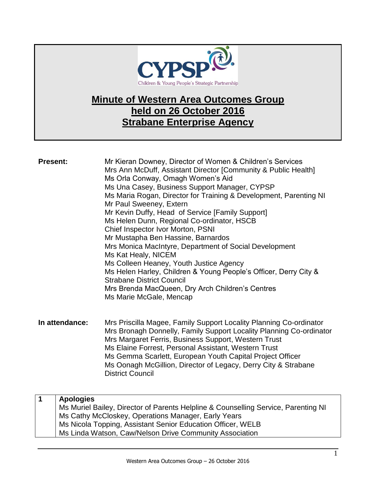

## **Minute of Western Area Outcomes Group held on 26 October 2016 Strabane Enterprise Agency**

| <b>Present:</b> |                  | Mr Kieran Downey, Director of Women & Children's Services<br>Mrs Ann McDuff, Assistant Director [Community & Public Health]<br>Ms Orla Conway, Omagh Women's Aid<br>Ms Una Casey, Business Support Manager, CYPSP<br>Ms Maria Rogan, Director for Training & Development, Parenting NI<br>Mr Paul Sweeney, Extern<br>Mr Kevin Duffy, Head of Service [Family Support]<br>Ms Helen Dunn, Regional Co-ordinator, HSCB<br>Chief Inspector Ivor Morton, PSNI<br>Mr Mustapha Ben Hassine, Barnardos<br>Mrs Monica MacIntyre, Department of Social Development<br>Ms Kat Healy, NICEM<br>Ms Colleen Heaney, Youth Justice Agency<br>Ms Helen Harley, Children & Young People's Officer, Derry City &<br><b>Strabane District Council</b><br>Mrs Brenda MacQueen, Dry Arch Children's Centres<br>Ms Marie McGale, Mencap |
|-----------------|------------------|-------------------------------------------------------------------------------------------------------------------------------------------------------------------------------------------------------------------------------------------------------------------------------------------------------------------------------------------------------------------------------------------------------------------------------------------------------------------------------------------------------------------------------------------------------------------------------------------------------------------------------------------------------------------------------------------------------------------------------------------------------------------------------------------------------------------|
| In attendance:  |                  | Mrs Priscilla Magee, Family Support Locality Planning Co-ordinator<br>Mrs Bronagh Donnelly, Family Support Locality Planning Co-ordinator<br>Mrs Margaret Ferris, Business Support, Western Trust<br>Ms Elaine Forrest, Personal Assistant, Western Trust<br>Ms Gemma Scarlett, European Youth Capital Project Officer<br>Ms Oonagh McGillion, Director of Legacy, Derry City & Strabane<br><b>District Council</b>                                                                                                                                                                                                                                                                                                                                                                                               |
| $\mathbf{1}$    | <b>Apologies</b> | Ms Muriel Bailey, Director of Parents Helpline & Counselling Service, Parenting NI<br>Ms Cathy McCloskey, Operations Manager, Early Years<br>$\mathbf{L}$ . The state of $\mathbf{A}$ is the state of $\mathbf{A}$ in the state of $\mathbf{A}$<br>$\sim 10H$                                                                                                                                                                                                                                                                                                                                                                                                                                                                                                                                                     |

Ms Nicola Topping, Assistant Senior Education Officer, WELB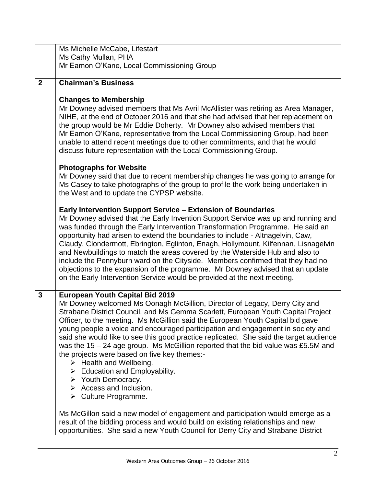|                | Ms Michelle McCabe, Lifestart                                                                                                                                                                                                                                                                                                                                                                                                                                                                                                                                                                                                                                                                                                                                                                                                   |
|----------------|---------------------------------------------------------------------------------------------------------------------------------------------------------------------------------------------------------------------------------------------------------------------------------------------------------------------------------------------------------------------------------------------------------------------------------------------------------------------------------------------------------------------------------------------------------------------------------------------------------------------------------------------------------------------------------------------------------------------------------------------------------------------------------------------------------------------------------|
|                | Ms Cathy Mullan, PHA                                                                                                                                                                                                                                                                                                                                                                                                                                                                                                                                                                                                                                                                                                                                                                                                            |
|                | Mr Eamon O'Kane, Local Commissioning Group                                                                                                                                                                                                                                                                                                                                                                                                                                                                                                                                                                                                                                                                                                                                                                                      |
| $\overline{2}$ | <b>Chairman's Business</b>                                                                                                                                                                                                                                                                                                                                                                                                                                                                                                                                                                                                                                                                                                                                                                                                      |
|                |                                                                                                                                                                                                                                                                                                                                                                                                                                                                                                                                                                                                                                                                                                                                                                                                                                 |
|                | <b>Changes to Membership</b><br>Mr Downey advised members that Ms Avril McAllister was retiring as Area Manager,<br>NIHE, at the end of October 2016 and that she had advised that her replacement on<br>the group would be Mr Eddie Doherty. Mr Downey also advised members that<br>Mr Eamon O'Kane, representative from the Local Commissioning Group, had been<br>unable to attend recent meetings due to other commitments, and that he would<br>discuss future representation with the Local Commissioning Group.                                                                                                                                                                                                                                                                                                          |
|                | <b>Photographs for Website</b><br>Mr Downey said that due to recent membership changes he was going to arrange for<br>Ms Casey to take photographs of the group to profile the work being undertaken in<br>the West and to update the CYPSP website.                                                                                                                                                                                                                                                                                                                                                                                                                                                                                                                                                                            |
|                | <b>Early Intervention Support Service - Extension of Boundaries</b><br>Mr Downey advised that the Early Invention Support Service was up and running and<br>was funded through the Early Intervention Transformation Programme. He said an<br>opportunity had arisen to extend the boundaries to include - Altnagelvin, Caw,<br>Claudy, Clondermott, Ebrington, Eglinton, Enagh, Hollymount, Kilfennan, Lisnagelvin<br>and Newbuildings to match the areas covered by the Waterside Hub and also to<br>include the Pennyburn ward on the Cityside. Members confirmed that they had no<br>objections to the expansion of the programme. Mr Downey advised that an update<br>on the Early Intervention Service would be provided at the next meeting.                                                                             |
| $\mathbf{3}$   | <b>European Youth Capital Bid 2019</b><br>Mr Downey welcomed Ms Oonagh McGillion, Director of Legacy, Derry City and<br>Strabane District Council, and Ms Gemma Scarlett, European Youth Capital Project<br>Officer, to the meeting. Ms McGillion said the European Youth Capital bid gave<br>young people a voice and encouraged participation and engagement in society and<br>said she would like to see this good practice replicated. She said the target audience<br>was the $15 - 24$ age group. Ms McGillion reported that the bid value was £5.5M and<br>the projects were based on five key themes:-<br>$\triangleright$ Health and Wellbeing.<br>$\triangleright$ Education and Employability.<br>$\triangleright$ Youth Democracy.<br>$\triangleright$ Access and Inclusion.<br>$\triangleright$ Culture Programme. |
|                | Ms McGillon said a new model of engagement and participation would emerge as a<br>result of the bidding process and would build on existing relationships and new<br>opportunities. She said a new Youth Council for Derry City and Strabane District                                                                                                                                                                                                                                                                                                                                                                                                                                                                                                                                                                           |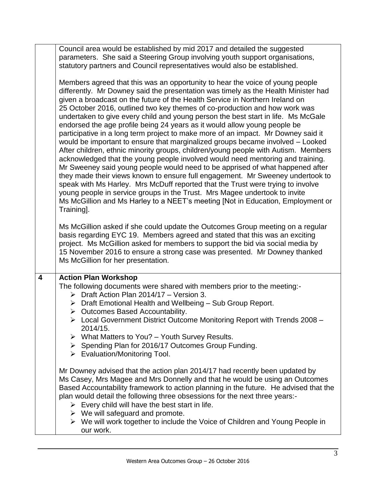|   | Council area would be established by mid 2017 and detailed the suggested                                                                                                                                                                                                                                                                                                                                                                                                                                                                                                                                                                                                                                                                                                                                                                                                                                                                                                                                                                                                                                                                                                                                                                                                                |  |  |  |
|---|-----------------------------------------------------------------------------------------------------------------------------------------------------------------------------------------------------------------------------------------------------------------------------------------------------------------------------------------------------------------------------------------------------------------------------------------------------------------------------------------------------------------------------------------------------------------------------------------------------------------------------------------------------------------------------------------------------------------------------------------------------------------------------------------------------------------------------------------------------------------------------------------------------------------------------------------------------------------------------------------------------------------------------------------------------------------------------------------------------------------------------------------------------------------------------------------------------------------------------------------------------------------------------------------|--|--|--|
|   | parameters. She said a Steering Group involving youth support organisations,                                                                                                                                                                                                                                                                                                                                                                                                                                                                                                                                                                                                                                                                                                                                                                                                                                                                                                                                                                                                                                                                                                                                                                                                            |  |  |  |
|   | statutory partners and Council representatives would also be established.                                                                                                                                                                                                                                                                                                                                                                                                                                                                                                                                                                                                                                                                                                                                                                                                                                                                                                                                                                                                                                                                                                                                                                                                               |  |  |  |
|   | Members agreed that this was an opportunity to hear the voice of young people<br>differently. Mr Downey said the presentation was timely as the Health Minister had<br>given a broadcast on the future of the Health Service in Northern Ireland on<br>25 October 2016, outlined two key themes of co-production and how work was<br>undertaken to give every child and young person the best start in life. Ms McGale<br>endorsed the age profile being 24 years as it would allow young people be<br>participative in a long term project to make more of an impact. Mr Downey said it<br>would be important to ensure that marginalized groups became involved - Looked<br>After children, ethnic minority groups, children/young people with Autism. Members<br>acknowledged that the young people involved would need mentoring and training.<br>Mr Sweeney said young people would need to be apprised of what happened after<br>they made their views known to ensure full engagement. Mr Sweeney undertook to<br>speak with Ms Harley. Mrs McDuff reported that the Trust were trying to involve<br>young people in service groups in the Trust. Mrs Magee undertook to invite<br>Ms McGillion and Ms Harley to a NEET's meeting [Not in Education, Employment or<br>Training]. |  |  |  |
|   | Ms McGillion asked if she could update the Outcomes Group meeting on a regular<br>basis regarding EYC 19. Members agreed and stated that this was an exciting<br>project. Ms McGillion asked for members to support the bid via social media by<br>15 November 2016 to ensure a strong case was presented. Mr Downey thanked<br>Ms McGillion for her presentation.                                                                                                                                                                                                                                                                                                                                                                                                                                                                                                                                                                                                                                                                                                                                                                                                                                                                                                                      |  |  |  |
| 4 | <b>Action Plan Workshop</b>                                                                                                                                                                                                                                                                                                                                                                                                                                                                                                                                                                                                                                                                                                                                                                                                                                                                                                                                                                                                                                                                                                                                                                                                                                                             |  |  |  |
|   | The following documents were shared with members prior to the meeting:-<br>$\triangleright$ Draft Action Plan 2014/17 - Version 3.                                                                                                                                                                                                                                                                                                                                                                                                                                                                                                                                                                                                                                                                                                                                                                                                                                                                                                                                                                                                                                                                                                                                                      |  |  |  |
|   | $\triangleright$ Draft Emotional Health and Wellbeing - Sub Group Report.<br>> Outcomes Based Accountability.                                                                                                                                                                                                                                                                                                                                                                                                                                                                                                                                                                                                                                                                                                                                                                                                                                                                                                                                                                                                                                                                                                                                                                           |  |  |  |
|   | > Local Government District Outcome Monitoring Report with Trends 2008 -<br>2014/15.                                                                                                                                                                                                                                                                                                                                                                                                                                                                                                                                                                                                                                                                                                                                                                                                                                                                                                                                                                                                                                                                                                                                                                                                    |  |  |  |
|   | $\triangleright$ What Matters to You? - Youth Survey Results.                                                                                                                                                                                                                                                                                                                                                                                                                                                                                                                                                                                                                                                                                                                                                                                                                                                                                                                                                                                                                                                                                                                                                                                                                           |  |  |  |
|   | > Spending Plan for 2016/17 Outcomes Group Funding.<br>$\triangleright$ Evaluation/Monitoring Tool.                                                                                                                                                                                                                                                                                                                                                                                                                                                                                                                                                                                                                                                                                                                                                                                                                                                                                                                                                                                                                                                                                                                                                                                     |  |  |  |
|   | Mr Downey advised that the action plan 2014/17 had recently been updated by<br>Ms Casey, Mrs Magee and Mrs Donnelly and that he would be using an Outcomes<br>Based Accountability framework to action planning in the future. He advised that the<br>plan would detail the following three obsessions for the next three years:-<br>$\triangleright$ Every child will have the best start in life.<br>$\triangleright$ We will safeguard and promote.                                                                                                                                                                                                                                                                                                                                                                                                                                                                                                                                                                                                                                                                                                                                                                                                                                  |  |  |  |
|   | $\triangleright$ We will work together to include the Voice of Children and Young People in<br>our work.                                                                                                                                                                                                                                                                                                                                                                                                                                                                                                                                                                                                                                                                                                                                                                                                                                                                                                                                                                                                                                                                                                                                                                                |  |  |  |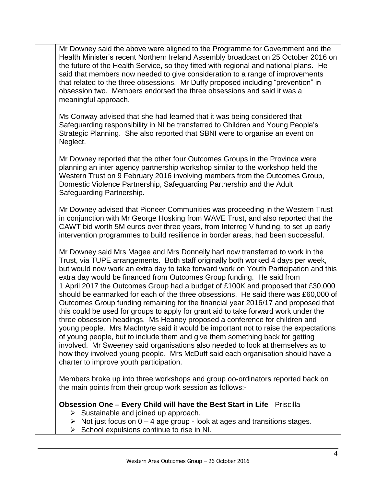Mr Downey said the above were aligned to the Programme for Government and the Health Minister's recent Northern Ireland Assembly broadcast on 25 October 2016 on the future of the Health Service, so they fitted with regional and national plans. He said that members now needed to give consideration to a range of improvements that related to the three obsessions. Mr Duffy proposed including "prevention" in obsession two. Members endorsed the three obsessions and said it was a meaningful approach.

Ms Conway advised that she had learned that it was being considered that Safeguarding responsibility in NI be transferred to Children and Young People's Strategic Planning. She also reported that SBNI were to organise an event on Neglect.

Mr Downey reported that the other four Outcomes Groups in the Province were planning an inter agency partnership workshop similar to the workshop held the Western Trust on 9 February 2016 involving members from the Outcomes Group, Domestic Violence Partnership, Safeguarding Partnership and the Adult Safeguarding Partnership.

Mr Downey advised that Pioneer Communities was proceeding in the Western Trust in conjunction with Mr George Hosking from WAVE Trust, and also reported that the CAWT bid worth 5M euros over three years, from Interreg V funding, to set up early intervention programmes to build resilience in border areas, had been successful.

Mr Downey said Mrs Magee and Mrs Donnelly had now transferred to work in the Trust, via TUPE arrangements. Both staff originally both worked 4 days per week, but would now work an extra day to take forward work on Youth Participation and this extra day would be financed from Outcomes Group funding. He said from 1 April 2017 the Outcomes Group had a budget of £100K and proposed that £30,000 should be earmarked for each of the three obsessions. He said there was £60,000 of Outcomes Group funding remaining for the financial year 2016/17 and proposed that this could be used for groups to apply for grant aid to take forward work under the three obsession headings. Ms Heaney proposed a conference for children and young people. Mrs MacIntyre said it would be important not to raise the expectations of young people, but to include them and give them something back for getting involved. Mr Sweeney said organisations also needed to look at themselves as to how they involved young people. Mrs McDuff said each organisation should have a charter to improve youth participation.

Members broke up into three workshops and group oo-ordinators reported back on the main points from their group work session as follows:-

## **Obsession One – Every Child will have the Best Start in Life** - Priscilla

- $\triangleright$  Sustainable and joined up approach.
- $\triangleright$  Not just focus on  $0 4$  age group look at ages and transitions stages.
- $\triangleright$  School expulsions continue to rise in NI.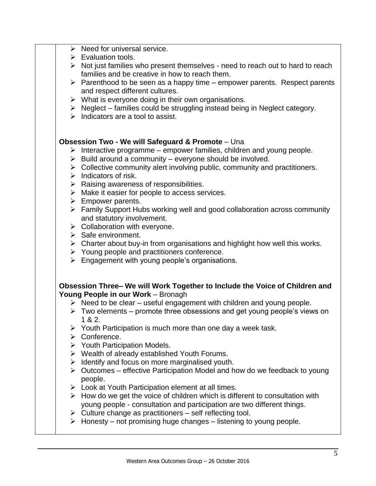|  | $\triangleright$ Need for universal service.                                                         |
|--|------------------------------------------------------------------------------------------------------|
|  | $\triangleright$ Evaluation tools.                                                                   |
|  | $\triangleright$ Not just families who present themselves - need to reach out to hard to reach       |
|  | families and be creative in how to reach them.                                                       |
|  | $\triangleright$ Parenthood to be seen as a happy time – empower parents. Respect parents            |
|  | and respect different cultures.                                                                      |
|  | $\triangleright$ What is everyone doing in their own organisations.                                  |
|  | $\triangleright$ Neglect – families could be struggling instead being in Neglect category.           |
|  | $\triangleright$ Indicators are a tool to assist.                                                    |
|  | <b>Obsession Two - We will Safeguard &amp; Promote - Una</b>                                         |
|  | $\triangleright$ Interactive programme – empower families, children and young people.                |
|  | $\triangleright$ Build around a community – everyone should be involved.                             |
|  | $\triangleright$ Collective community alert involving public, community and practitioners.           |
|  | $\triangleright$ Indicators of risk.                                                                 |
|  | $\triangleright$ Raising awareness of responsibilities.                                              |
|  | $\triangleright$ Make it easier for people to access services.                                       |
|  | $\triangleright$ Empower parents.                                                                    |
|  | $\triangleright$ Family Support Hubs working well and good collaboration across community            |
|  | and statutory involvement.                                                                           |
|  | $\triangleright$ Collaboration with everyone.                                                        |
|  | $\triangleright$ Safe environment.                                                                   |
|  | $\triangleright$ Charter about buy-in from organisations and highlight how well this works.          |
|  | $\triangleright$ Young people and practitioners conference.                                          |
|  | $\triangleright$ Engagement with young people's organisations.                                       |
|  | Obsession Three- We will Work Together to Include the Voice of Children and                          |
|  | Young People in our Work - Bronagh                                                                   |
|  | $\triangleright$ Need to be clear – useful engagement with children and young people.                |
|  | $\triangleright$ Two elements – promote three obsessions and get young people's views on<br>1 & 2.   |
|  | $\triangleright$ Youth Participation is much more than one day a week task.                          |
|  | $\triangleright$ Conference.                                                                         |
|  | $\triangleright$ Youth Participation Models.                                                         |
|  | ▶ Wealth of already established Youth Forums.                                                        |
|  | $\triangleright$ Identify and focus on more marginalised youth.                                      |
|  | $\triangleright$ Outcomes – effective Participation Model and how do we feedback to young<br>people. |
|  | $\triangleright$ Look at Youth Participation element at all times.                                   |
|  | $\triangleright$ How do we get the voice of children which is different to consultation with         |
|  | young people - consultation and participation are two different things.                              |
|  | $\triangleright$ Culture change as practitioners – self reflecting tool.                             |
|  | $\triangleright$ Honesty – not promising huge changes – listening to young people.                   |
|  |                                                                                                      |